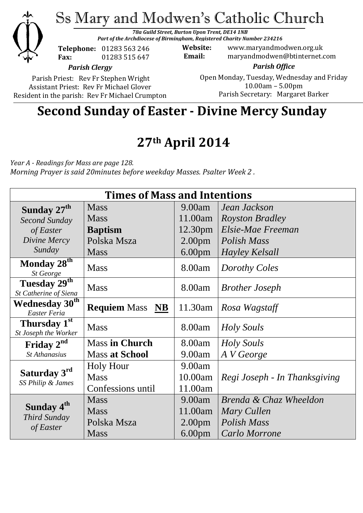

Ss Mary and Modwen's Catholic Church

*78a Guild Street, Burton Upon Trent, DE14 1NB Part of the Archdiocese of Birmingham, Registered Charity Number 234216*

**Telephone:** 01283 563 246 **Fax:** 01283 515 647

**Website:** www.maryandmodwen.org.uk **Email:** maryandmodwen@btinternet.com

*Parish Clergy*

Parish Priest: Rev Fr Stephen Wright Assistant Priest: Rev Fr Michael Glover Resident in the parish: Rev Fr Michael Crumpton

*Parish Office* Open Monday, Tuesday, Wednesday and Friday 10.00am – 5.00pm Parish Secretary:Margaret Barker

# **Second Sunday of Easter - Divine Mercy Sunday**

# **27th April 2014**

*Year A - Readings for Mass are page 128. Morning Prayer is said 20minutes before weekday Masses. Psalter Week 2 .*

| <b>Times of Mass and Intentions</b>                 |                        |                     |                               |
|-----------------------------------------------------|------------------------|---------------------|-------------------------------|
| Sunday 27 <sup>th</sup>                             | <b>Mass</b>            | 9.00am              | Jean Jackson                  |
| Second Sunday                                       | <b>Mass</b>            | 11.00am             | <i>Royston Bradley</i>        |
| of Easter                                           | <b>Baptism</b>         | 12.30 <sub>pm</sub> | Elsie-Mae Freeman             |
| Divine Mercy                                        | Polska Msza            | 2.00 <sub>pm</sub>  | Polish Mass                   |
| Sunday                                              | <b>Mass</b>            | 6.00 <sub>pm</sub>  | Hayley Kelsall                |
| Monday 28 <sup>th</sup><br>St George                | <b>Mass</b>            | 8.00am              | Dorothy Coles                 |
| Tuesday 29 <sup>th</sup><br>St Catherine of Siena   | <b>Mass</b>            | 8.00am              | <b>Brother Joseph</b>         |
| Wednesday $3\overline{0^{th}}$<br>Easter Feria      | <b>Requiem Mass</b> NB | 11.30am             | Rosa Wagstaff                 |
| Thursday 1st<br>St Joseph the Worker                | <b>Mass</b>            | 8.00am              | Holy Souls                    |
| Friday 2 <sup>nd</sup>                              | <b>Mass in Church</b>  | 8.00am              | Holy Souls                    |
| <b>St Athanasius</b>                                | <b>Mass at School</b>  | 9.00am              | A V George                    |
| Saturday 3rd<br>SS Philip & James                   | <b>Holy Hour</b>       | 9.00am              |                               |
|                                                     | <b>Mass</b>            | 10.00am             | Regi Joseph - In Thanksgiving |
|                                                     | Confessions until      | 11.00am             |                               |
| Sunday 4 <sup>th</sup><br>Third Sunday<br>of Easter | <b>Mass</b>            | 9.00am              | Brenda & Chaz Wheeldon        |
|                                                     | <b>Mass</b>            | 11.00am             | Mary Cullen                   |
|                                                     | Polska Msza            | 2.00 <sub>pm</sub>  | <b>Polish Mass</b>            |
|                                                     | <b>Mass</b>            | 6.00 <sub>pm</sub>  | Carlo Morrone                 |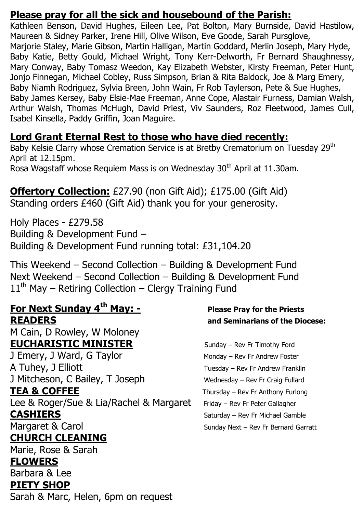### **Please pray for all the sick and housebound of the Parish:**

Kathleen Benson, David Hughes, Eileen Lee, Pat Bolton, Mary Burnside, David Hastilow, Maureen & Sidney Parker, Irene Hill, Olive Wilson, Eve Goode, Sarah Pursglove, Marjorie Staley, Marie Gibson, Martin Halligan, Martin Goddard, Merlin Joseph, Mary Hyde, Baby Katie, Betty Gould, Michael Wright, Tony Kerr-Delworth, Fr Bernard Shaughnessy, Mary Conway, Baby Tomasz Weedon, Kay Elizabeth Webster, Kirsty Freeman, Peter Hunt, Jonjo Finnegan, Michael Cobley, Russ Simpson, Brian & Rita Baldock, Joe & Marg Emery, Baby Niamh Rodriguez, Sylvia Breen, John Wain, Fr Rob Taylerson, Pete & Sue Hughes, Baby James Kersey, Baby Elsie-Mae Freeman, Anne Cope, Alastair Furness, Damian Walsh, Arthur Walsh, Thomas McHugh, David Priest, Viv Saunders, Roz Fleetwood, James Cull, Isabel Kinsella, Paddy Griffin, Joan Maguire.

## **Lord Grant Eternal Rest to those who have died recently:**

Baby Kelsie Clarry whose Cremation Service is at Bretby Crematorium on Tuesday 29<sup>th</sup> April at 12.15pm. Rosa Wagstaff whose Requiem Mass is on Wednesday 30<sup>th</sup> April at 11.30am.

**Offertory Collection:** £27.90 (non Gift Aid); £175.00 (Gift Aid)

Standing orders £460 (Gift Aid) thank you for your generosity.

Holy Places - £279.58 Building & Development Fund – Building & Development Fund running total: £31,104.20

This Weekend – Second Collection – Building & Development Fund Next Weekend – Second Collection – Building & Development Fund  $11<sup>th</sup>$  May – Retiring Collection – Clergy Training Fund

## **For Next Sunday 4th May: - Please Pray for the Priests READERS and Seminarians of the Diocese:**

M Cain, D Rowley, W Moloney **EUCHARISTIC MINISTER** Sunday – Rev Fr Timothy Ford

J Emery, J Ward, G Taylor Monday – Rev Fr Andrew Foster A Tuhey, J Elliott Tuesday – Rev Fr Andrew Franklin J Mitcheson, C Bailey, T Joseph Wednesday – Rev Fr Craig Fullard **TEA & COFFEE** Thursday – Rev Fr Anthony Furlong Lee & Roger/Sue & Lia/Rachel & Margaret Friday – Rev Fr Peter Gallagher

## **CHURCH CLEANING**

Marie, Rose & Sarah

### **FLOWERS**

Barbara & Lee

## **PIETY SHOP**

Sarah & Marc, Helen, 6pm on request

**CASHIERS** Saturday – Rev Fr Michael Gamble Margaret & Carol Sunday Next – Rev Fr Bernard Garratt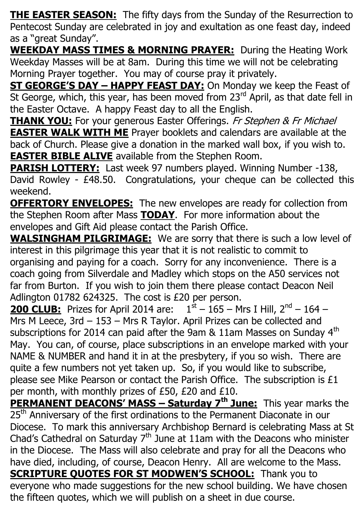**THE EASTER SEASON:** The fifty days from the Sunday of the Resurrection to Pentecost Sunday are celebrated in joy and exultation as one feast day, indeed as a "great Sunday".

**WEEKDAY MASS TIMES & MORNING PRAYER:** During the Heating Work Weekday Masses will be at 8am. During this time we will not be celebrating Morning Prayer together. You may of course pray it privately.

**ST GEORGE'S DAY – HAPPY FEAST DAY:** On Monday we keep the Feast of St George, which, this year, has been moved from 23<sup>rd</sup> April, as that date fell in the Easter Octave. A happy Feast day to all the English.

**THANK YOU:** For your generous Easter Offerings. Fr Stephen & Fr Michael **EASTER WALK WITH ME** Prayer booklets and calendars are available at the back of Church. Please give a donation in the marked wall box, if you wish to. **EASTER BIBLE ALIVE** available from the Stephen Room.

**PARISH LOTTERY:** Last week 97 numbers played. Winning Number -138, David Rowley - £48.50. Congratulations, your cheque can be collected this weekend.

**OFFERTORY ENVELOPES:** The new envelopes are ready for collection from the Stephen Room after Mass **TODAY**. For more information about the envelopes and Gift Aid please contact the Parish Office.

**WALSINGHAM PILGRIMAGE:** We are sorry that there is such a low level of interest in this pilgrimage this year that it is not realistic to commit to organising and paying for a coach. Sorry for any inconvenience. There is a coach going from Silverdale and Madley which stops on the A50 services not far from Burton. If you wish to join them there please contact Deacon Neil Adlington 01782 624325. The cost is £20 per person.

**200 CLUB:** Prizes for April 2014 are:  $1<sup>st</sup> - 165 - Mrs$  I Hill,  $2<sup>nd</sup> - 164 -$ Mrs M Leece, 3rd – 153 – Mrs R Taylor. April Prizes can be collected and subscriptions for 2014 can paid after the 9am  $&$  11am Masses on Sunday 4<sup>th</sup> May. You can, of course, place subscriptions in an envelope marked with your NAME & NUMBER and hand it in at the presbytery, if you so wish. There are quite a few numbers not yet taken up. So, if you would like to subscribe, please see Mike Pearson or contact the Parish Office. The subscription is £1 per month, with monthly prizes of £50, £20 and £10.

**PERMANENT DEACONS' MASS – Saturday 7th June:** This year marks the 25<sup>th</sup> Anniversary of the first ordinations to the Permanent Diaconate in our Diocese. To mark this anniversary Archbishop Bernard is celebrating Mass at St Chad's Cathedral on Saturday  $7<sup>th</sup>$  June at 11am with the Deacons who minister in the Diocese. The Mass will also celebrate and pray for all the Deacons who have died, including, of course, Deacon Henry. All are welcome to the Mass. **SCRIPTURE QUOTES FOR ST MODWEN'S SCHOOL:** Thank you to everyone who made suggestions for the new school building. We have chosen the fifteen quotes, which we will publish on a sheet in due course.